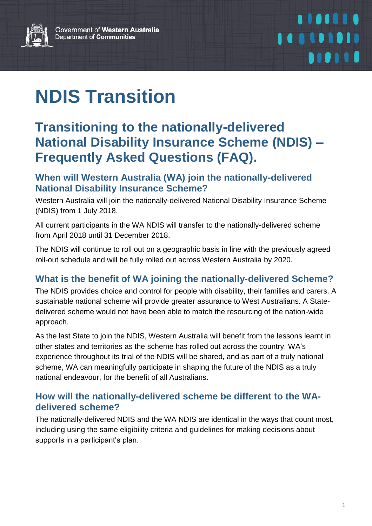Government of Western Australia Department of Communities



## 1101110 100101010 *<u>DIOITH</u>*

# **NDIS Transition**

### **Transitioning to the nationally-delivered National Disability Insurance Scheme (NDIS) – Frequently Asked Questions (FAQ).**

#### **When will Western Australia (WA) join the nationally-delivered National Disability Insurance Scheme?**

Western Australia will join the nationally-delivered National Disability Insurance Scheme (NDIS) from 1 July 2018.

All current participants in the WA NDIS will transfer to the nationally-delivered scheme from April 2018 until 31 December 2018.

The NDIS will continue to roll out on a geographic basis in line with the previously agreed roll-out schedule and will be fully rolled out across Western Australia by 2020.

#### **What is the benefit of WA joining the nationally-delivered Scheme?**

The NDIS provides choice and control for people with disability, their families and carers. A sustainable national scheme will provide greater assurance to West Australians. A Statedelivered scheme would not have been able to match the resourcing of the nation-wide approach.

As the last State to join the NDIS, Western Australia will benefit from the lessons learnt in other states and territories as the scheme has rolled out across the country. WA's experience throughout its trial of the NDIS will be shared, and as part of a truly national scheme, WA can meaningfully participate in shaping the future of the NDIS as a truly national endeavour, for the benefit of all Australians.

#### **How will the nationally-delivered scheme be different to the WAdelivered scheme?**

The nationally-delivered NDIS and the WA NDIS are identical in the ways that count most, including using the same eligibility criteria and guidelines for making decisions about supports in a participant's plan.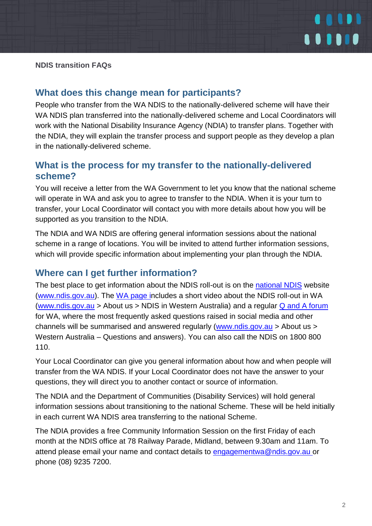

#### **NDIS transition FAQs**

#### **What does this change mean for participants?**

People who transfer from the WA NDIS to the nationally-delivered scheme will have their WA NDIS plan transferred into the nationally-delivered scheme and Local Coordinators will work with the National Disability Insurance Agency (NDIA) to transfer plans. Together with the NDIA, they will explain the transfer process and support people as they develop a plan in the nationally-delivered scheme.

#### **What is the process for my transfer to the nationally-delivered scheme?**

You will receive a letter from the WA Government to let you know that the national scheme will operate in WA and ask you to agree to transfer to the NDIA. When it is your turn to transfer, your Local Coordinator will contact you with more details about how you will be supported as you transition to the NDIA.

The NDIA and WA NDIS are offering general information sessions about the national scheme in a range of locations. You will be invited to attend further information sessions, which will provide specific information about implementing your plan through the NDIA.

#### **Where can I get further information?**

The best place to get information about the NDIS roll-out is on the [national NDIS](https://www.ndis.gov.au/) website [\(www.ndis.gov.au\)](http://www.ndis.gov.au/). The [WA page in](https://www.ndis.gov.au/about-us/our-sites/WA.html)cludes a short video about the NDIS roll-out in WA [\(www.ndis.gov.au](http://www.ndis.gov.au/) > About us > NDIS in Western Australia) and a regular [Q and A forum](https://www.ndis.gov.au/about-us/our-sites/WA/qanda.html) for WA, where the most frequently asked questions raised in social media and other channels will be summarised and answered regularly [\(www.ndis.gov.au](http://www.ndis.gov.au/) > About us > Western Australia – Questions and answers). You can also call the NDIS on 1800 800 110.

Your Local Coordinator can give you general information about how and when people will transfer from the WA NDIS. If your Local Coordinator does not have the answer to your questions, they will direct you to another contact or source of information.

The NDIA and the Department of Communities (Disability Services) will hold general information sessions about transitioning to the national Scheme. These will be held initially in each current WA NDIS area transferring to the national Scheme.

The NDIA provides a free Community Information Session on the first Friday of each month at the NDIS office at 78 Railway Parade, Midland, between 9.30am and 11am. To attend please email your name and contact details to [engagementwa@ndis.gov.au o](mailto:engagementwa@ndis.gov.au)r phone (08) 9235 7200.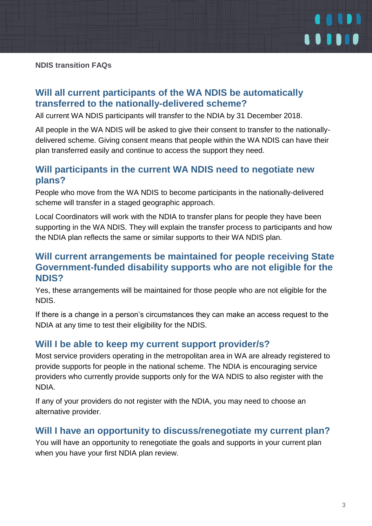

#### **Will all current participants of the WA NDIS be automatically transferred to the nationally-delivered scheme?**

All current WA NDIS participants will transfer to the NDIA by 31 December 2018.

All people in the WA NDIS will be asked to give their consent to transfer to the nationallydelivered scheme. Giving consent means that people within the WA NDIS can have their plan transferred easily and continue to access the support they need.

#### **Will participants in the current WA NDIS need to negotiate new plans?**

People who move from the WA NDIS to become participants in the nationally-delivered scheme will transfer in a staged geographic approach.

Local Coordinators will work with the NDIA to transfer plans for people they have been supporting in the WA NDIS. They will explain the transfer process to participants and how the NDIA plan reflects the same or similar supports to their WA NDIS plan.

#### **Will current arrangements be maintained for people receiving State Government-funded disability supports who are not eligible for the NDIS?**

Yes, these arrangements will be maintained for those people who are not eligible for the NDIS.

If there is a change in a person's circumstances they can make an access request to the NDIA at any time to test their eligibility for the NDIS.

#### **Will I be able to keep my current support provider/s?**

Most service providers operating in the metropolitan area in WA are already registered to provide supports for people in the national scheme. The NDIA is encouraging service providers who currently provide supports only for the WA NDIS to also register with the NDIA.

If any of your providers do not register with the NDIA, you may need to choose an alternative provider.

#### **Will I have an opportunity to discuss/renegotiate my current plan?**

You will have an opportunity to renegotiate the goals and supports in your current plan when you have your first NDIA plan review.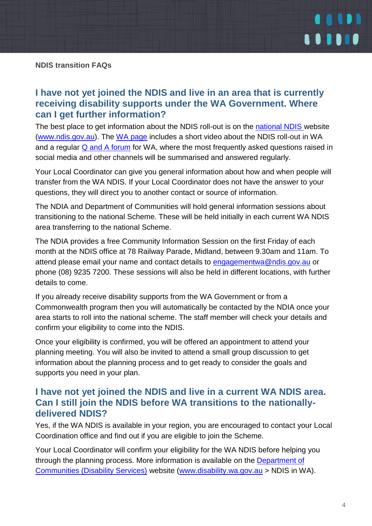

#### **I have not yet joined the NDIS and live in an area that is currently receiving disability supports under the WA Government. Where can I get further information?**

The best place to get information about the NDIS roll-out is on the [national NDIS w](https://www.ndis.gov.au/index.html)ebsite [\(www.ndis.gov.au\)](http://www.ndis.gov.au/). The [WA page](https://www.ndis.gov.au/about-us/our-sites/WA.html) includes a short video about the NDIS roll-out in WA and a regular [Q and A forum](https://www.ndis.gov.au/about-us/our-sites/WA/qanda.html) for WA, where the most frequently asked questions raised in social media and other channels will be summarised and answered regularly.

Your Local Coordinator can give you general information about how and when people will transfer from the WA NDIS. If your Local Coordinator does not have the answer to your questions, they will direct you to another contact or source of information.

The NDIA and Department of Communities will hold general information sessions about transitioning to the national Scheme. These will be held initially in each current WA NDIS area transferring to the national Scheme.

The NDIA provides a free Community Information Session on the first Friday of each month at the NDIS office at 78 Railway Parade, Midland, between 9.30am and 11am. To attend please email your name and contact details to [engagementwa@ndis.gov.au](mailto:engagementwa@ndis.gov.au) or phone (08) 9235 7200. These sessions will also be held in different locations, with further details to come.

If you already receive disability supports from the WA Government or from a Commonwealth program then you will automatically be contacted by the NDIA once your area starts to roll into the national scheme. The staff member will check your details and confirm your eligibility to come into the NDIS.

Once your eligibility is confirmed, you will be offered an appointment to attend your planning meeting. You will also be invited to attend a small group discussion to get information about the planning process and to get ready to consider the goals and supports you need in your plan.

#### **I have not yet joined the NDIS and live in a current WA NDIS area. Can I still join the NDIS before WA transitions to the nationallydelivered NDIS?**

Yes, if the WA NDIS is available in your region, you are encouraged to contact your Local Coordination office and find out if you are eligible to join the Scheme.

Your Local Coordinator will confirm your eligibility for the WA NDIS before helping you through the planning process. More information is available on the [Department of](http://www.disability.wa.gov.au/wa-ndis/wa-ndis/)  [Communities \(Disability Services\)](http://www.disability.wa.gov.au/wa-ndis/wa-ndis/) website [\(www.disability.wa.gov.au](http://www.disability.wa.gov.au/) > NDIS in WA).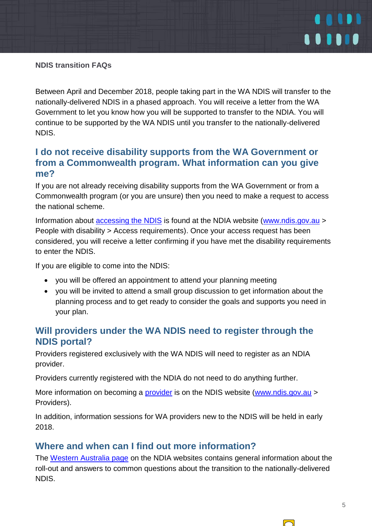

#### **NDIS transition FAQs**

Between April and December 2018, people taking part in the WA NDIS will transfer to the nationally-delivered NDIS in a phased approach. You will receive a letter from the WA Government to let you know how you will be supported to transfer to the NDIA. You will continue to be supported by the WA NDIS until you transfer to the nationally-delivered NDIS.

#### **I do not receive disability supports from the WA Government or from a Commonwealth program. What information can you give me?**

If you are not already receiving disability supports from the WA Government or from a Commonwealth program (or you are unsure) then you need to make a request to access the national scheme.

Information about **accessing the NDIS** is found at the NDIA website [\(www.ndis.gov.au](http://www.ndis.gov.au/) > People with disability > Access requirements). Once your access request has been considered, you will receive a letter confirming if you have met the disability requirements to enter the NDIS.

If you are eligible to come into the NDIS:

- you will be offered an appointment to attend your planning meeting
- you will be invited to attend a small group discussion to get information about the planning process and to get ready to consider the goals and supports you need in your plan.

#### **Will providers under the WA NDIS need to register through the NDIS portal?**

Providers registered exclusively with the WA NDIS will need to register as an NDIA provider.

Providers currently registered with the NDIA do not need to do anything further.

More information on becoming a [provider](https://www.ndis.gov.au/providers.html) is on the NDIS website [\(www.ndis.gov.au](http://www.ndis.gov.au/) > Providers).

In addition, information sessions for WA providers new to the NDIS will be held in early 2018.

#### **Where and when can I find out more information?**

The [Western Australia page](https://www.ndis.gov.au/about-us/our-sites/WA.html) on the NDIA websites contains general information about the roll-out and answers to common questions about the transition to the nationally-delivered NDIS.

 $\Box$